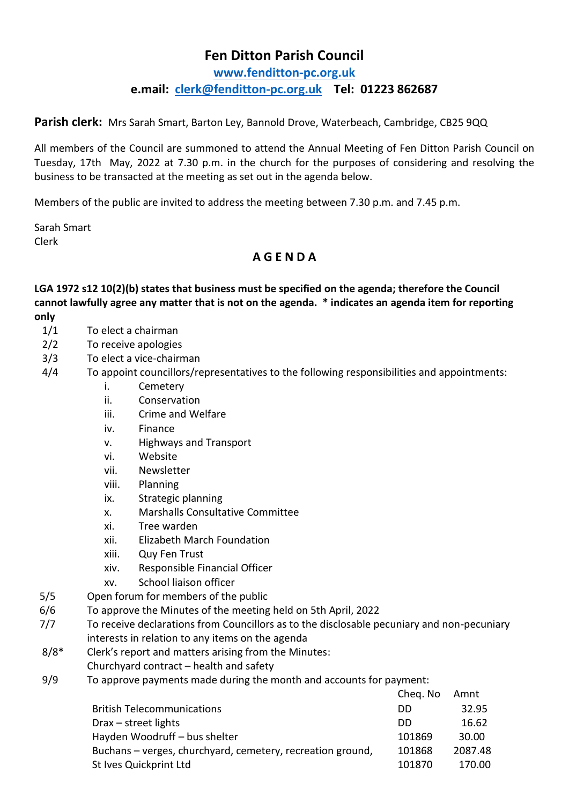## **Fen Ditton Parish Council**

**[www.fenditton-pc.org.uk](http://www.fenditton-pc.org.uk/) e.mail: [clerk@fenditton-pc.org.uk](mailto:clerk@fenditton-pc.org.uk) Tel: 01223 862687**

**Parish clerk:** Mrs Sarah Smart, Barton Ley, Bannold Drove, Waterbeach, Cambridge, CB25 9QQ

All members of the Council are summoned to attend the Annual Meeting of Fen Ditton Parish Council on Tuesday, 17th May, 2022 at 7.30 p.m. in the church for the purposes of considering and resolving the business to be transacted at the meeting as set out in the agenda below.

Members of the public are invited to address the meeting between 7.30 p.m. and 7.45 p.m.

Sarah Smart Clerk

## **A G E N D A**

**LGA 1972 s12 10(2)(b) states that business must be specified on the agenda; therefore the Council cannot lawfully agree any matter that is not on the agenda. \* indicates an agenda item for reporting only**

- 1/1 To elect a chairman
- 2/2 To receive apologies
- 3/3 To elect a vice-chairman
- 4/4 To appoint councillors/representatives to the following responsibilities and appointments:
	- i. Cemetery
	- ii. Conservation
	- iii. Crime and Welfare
	- iv. Finance
	- v. Highways and Transport
	- vi. Website
	- vii. Newsletter
	- viii. Planning
	- ix. Strategic planning
	- x. Marshalls Consultative Committee
	- xi. Tree warden
	- xii. Elizabeth March Foundation
	- xiii. Quy Fen Trust
	- xiv. Responsible Financial Officer
	- xv. School liaison officer
- 5/5 Open forum for members of the public
- 6/6 To approve the Minutes of the meeting held on 5th April, 2022
- 7/7 To receive declarations from Councillors as to the disclosable pecuniary and non-pecuniary interests in relation to any items on the agenda
- 8/8\* Clerk's report and matters arising from the Minutes:
- Churchyard contract health and safety
- 9/9 To approve payments made during the month and accounts for payment:

| Cheq. No | Amnt    |
|----------|---------|
| DD       | 32.95   |
| DD       | 16.62   |
| 101869   | 30.00   |
| 101868   | 2087.48 |
| 101870   | 170.00  |
|          |         |